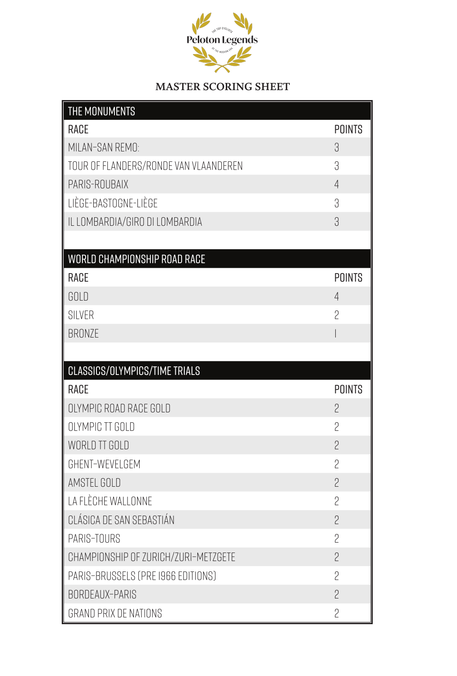

## **MASTER SCORING SHEET**

| THE MONUMENTS                         |                          |
|---------------------------------------|--------------------------|
| <b>RACE</b>                           | <b>POINTS</b>            |
| MILAN-SAN REMO:                       | 3                        |
| TOUR OF FLANDERS/RONDE VAN VLAANDEREN | 3                        |
| PARIS-ROUBAIX                         | $\overline{4}$           |
| LIÈGE-BASTOGNE-LIÈGE                  | З                        |
| IL LOMBARDIA/GIRO DI LOMBARDIA        | 3                        |
|                                       |                          |
| WORLD CHAMPIONSHIP ROAD RACE          |                          |
| <b>RACE</b>                           | <b>POINTS</b>            |
| GOLD                                  | $\overline{4}$           |
| <b>SILVER</b>                         | 2                        |
| <b>BRONZE</b>                         | $\overline{\phantom{a}}$ |
|                                       |                          |
| CLASSICS/OLYMPICS/TIME TRIALS         |                          |
| <b>RACE</b>                           | <b>POINTS</b>            |
| OLYMPIC ROAD RACE GOLD                | $\overline{2}$           |
| OLYMPIC TT GOLD                       | 2                        |
| WORLD TT GOLD                         | $\overline{2}$           |
| GHENT-WEVELGEM                        | $\overline{2}$           |
| AMSTEL GOLD                           | $\overline{2}$           |
| LA FLÈCHE WALLONNE                    | $\overline{2}$           |
| CLÁSICA DE SAN SEBASTIÁN              | $\overline{2}$           |
| PARIS-TOURS                           | 2                        |
| CHAMPIONSHIP OF ZURICH/ZURI-METZGETE  | $\overline{2}$           |
| PARIS-BRUSSELS (PRE 1966 EDITIONS)    | $\overline{2}$           |
| BORDEAUX-PARIS                        | $\overline{2}$           |
| <b>GRAND PRIX DE NATIONS</b>          | $\overline{2}$           |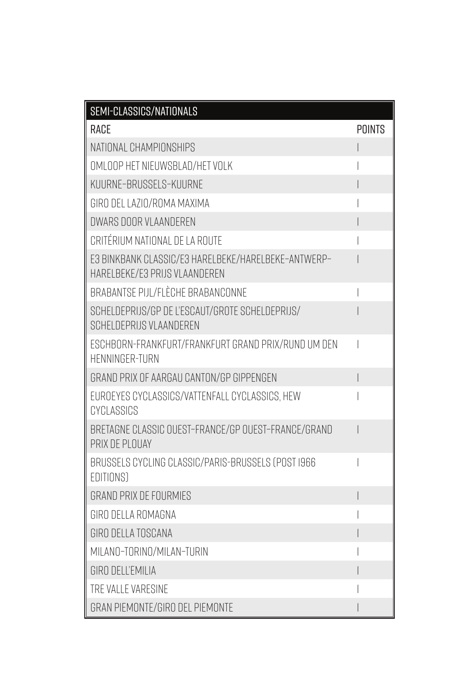| SEMI-CLASSICS/NATIONALS                                                              |        |
|--------------------------------------------------------------------------------------|--------|
| RACE                                                                                 | POINTS |
| NATIONAL CHAMPIONSHIPS                                                               |        |
| OMLOOP HET NIEUWSBLAD/HET VOLK                                                       |        |
| KUURNE-BRUSSELS-KUURNE                                                               |        |
| GIRO DEL LAZIO/ROMA MAXIMA                                                           |        |
| DWARS DOOR VLAANDEREN                                                                |        |
| CRITÉRIUM NATIONAL DE LA ROUTE                                                       |        |
| E3 BINKBANK CLASSIC/E3 HARELBEKE/HARELBEKE-ANTWERP-<br>HARELBEKE/E3 PRIJS VLAANDEREN |        |
| BRABANTSE PIJL/FLÈCHE BRABANCONNE                                                    |        |
| SCHELDEPRIJS/GP DE L'ESCAUT/GROTE SCHELDEPRIJS/<br>SCHELDEPRIJS VLAANDEREN           |        |
| ESCHBORN-FRANKFURT/FRANKFURT GRAND PRIX/RUND UM DEN<br><b>HENNINGER-TURN</b>         |        |
| GRAND PRIX OF AARGAU CANTON/GP GIPPENGEN                                             |        |
| EUROEYES CYCLASSICS/VATTENFALL CYCLASSICS, HEW<br>CYCLASSICS                         |        |
| BRETAGNE CLASSIC OUEST-FRANCE/GP OUEST-FRANCE/GRAND<br>PRIX DE PLOUAY                |        |
| BRUSSELS CYCLING CLASSIC/PARIS-BRUSSELS (POST 1966<br>EDITIONS)                      |        |
| <b>GRAND PRIX DE FOURMIES</b>                                                        |        |
| GIRO DELLA ROMAGNA                                                                   |        |
| GIRO DELLA TOSCANA                                                                   |        |
| MILANO-TORINO/MILAN-TURIN                                                            |        |
| GIRO DELL'EMILIA                                                                     |        |
| TRE VALLE VARESINE                                                                   |        |
| GRAN PIEMONTE/GIRO DEL PIEMONTE                                                      |        |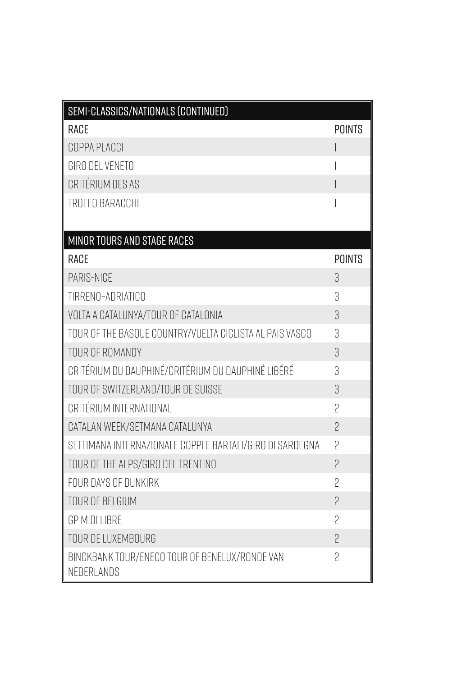| SEMI-CLASSICS/NATIONALS (CONTINUED)                          |                |
|--------------------------------------------------------------|----------------|
| RACE                                                         | <b>POINTS</b>  |
| COPPA PLACCI                                                 |                |
| GIRO DEL VENETO                                              |                |
| CRITÉRIUM DES AS                                             |                |
| TROFEO BARACCHI                                              |                |
|                                                              |                |
| <b>MINOR TOURS AND STAGE RACES</b>                           |                |
| <b>RACE</b>                                                  | <b>POINTS</b>  |
| PARIS-NICE                                                   | 3              |
| TIRRENO-ADRIATICO                                            | 3              |
| VOLTA A CATALUNYA/TOUR OF CATALONIA                          | 3              |
| TOUR OF THE BASOUE COUNTRY/VUELTA CICLISTA AL PAIS VASCO     | 3              |
| TOUR OF ROMANDY                                              | 3              |
| CRITÉRIUM DU DAUPHINÉ/CRITÉRIUM DU DAUPHINÉ LIBÉRÉ           | З              |
| TOUR OF SWITZERLAND/TOUR DE SUISSE                           | 3              |
| CRITÉRIUM INTERNATIONAL                                      | $\overline{2}$ |
| CATALAN WEEK/SETMANA CATALUNYA                               | $\overline{2}$ |
| SETTIMANA INTERNAZIONALE COPPI E BARTALI/GIRO DI SARDEGNA    | $\overline{2}$ |
| TOUR OF THE ALPS/GIRO DEL TRENTINO                           | $\overline{2}$ |
| FOUR DAYS OF DUNKIRK                                         | $\overline{2}$ |
| TOUR OF BELGIUM                                              | $\overline{c}$ |
| <b>GP MIDI LIBRE</b>                                         | $\overline{c}$ |
| TOUR DE LUXEMBOURG                                           | $\overline{2}$ |
| BINCKBANK TOUR/ENECO TOUR OF BENELUX/RONDE VAN<br>NEDERLANDS | $\overline{2}$ |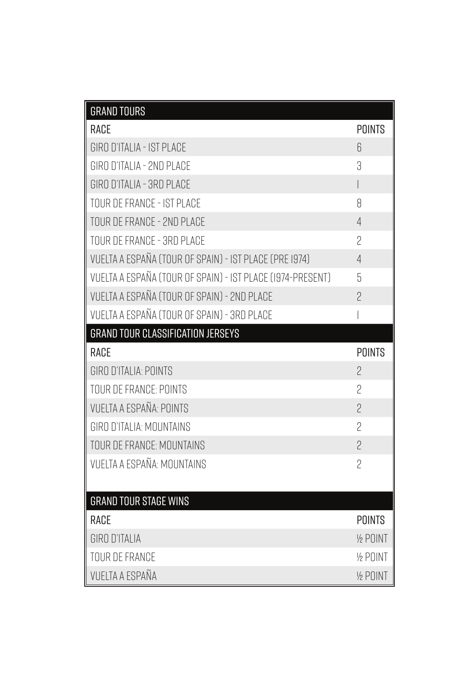| <b>GRAND TOURS</b>                                         |                          |
|------------------------------------------------------------|--------------------------|
| RACE                                                       | <b>POINTS</b>            |
| GIRO D'ITALIA - IST PLACE                                  | 6                        |
| GIRO D'ITALIA - 2ND PLACE                                  | 3                        |
| GIRO D'ITALIA - 3RD PLACE                                  | $\overline{\phantom{a}}$ |
| TOUR DE FRANCE - IST PLACE                                 | 8                        |
| TOUR DE FRANCE - 2ND PLACE                                 | $\overline{4}$           |
| TOUR DE FRANCE - 3RD PLACE                                 | $\overline{2}$           |
| VUELTA A ESPAÑA (TOUR OF SPAIN) - IST PLACE (PRE 1974)     | $\overline{4}$           |
| VUELTA A ESPAÑA (TOUR OF SPAIN) - IST PLACE (1974-PRESENT) | 5                        |
| VUELTA A ESPAÑA (TOUR OF SPAIN) - 2ND PLACE                | $\overline{2}$           |
| VUELTA A ESPAÑA (TOUR OF SPAIN) - 3RD PLACE                | $\overline{\phantom{a}}$ |
| <b>GRAND TOUR CLASSIFICATION JERSEYS</b>                   |                          |
|                                                            |                          |
| RACE                                                       | <b>POINTS</b>            |
| GIRO D'ITALIA: POINTS                                      | $\overline{2}$           |
| TOUR DE FRANCE: POINTS                                     | $\overline{2}$           |
| <b>VUELTA A ESPAÑA: POINTS</b>                             | $\overline{2}$           |
| GIRO D'ITALIA: MOUNTAINS                                   | $\overline{2}$           |
| TOUR DE FRANCE: MOUNTAINS                                  | $\overline{2}$           |
| VUELTA A ESPAÑA: MOUNTAINS                                 | $\overline{c}$           |
|                                                            |                          |
| <b>GRAND TOUR STAGE WINS</b>                               |                          |
| RACE                                                       | <b>POINTS</b>            |
| GIRO D'ITALIA                                              | 1/2 POINT                |
| <b>TOUR DE FRANCE</b>                                      | 1/2 POINT                |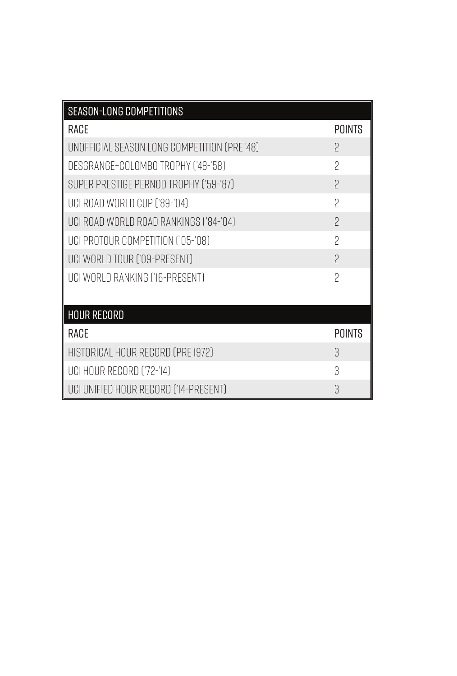| SEASON-LONG COMPETITIONS                     |                          |
|----------------------------------------------|--------------------------|
| <b>RACE</b>                                  | <b>POINTS</b>            |
| UNOFFICIAL SEASON LONG COMPETITION (PRE '48) | 2                        |
| DESGRANGE-COLOMBO TROPHY ('48-'58)           | $\overline{\phantom{a}}$ |
| SUPER PRESTIGE PERNOD TROPHY ('59-'87)       | $\overline{C}$           |
| UCI ROAD WORLD CUP ('89-'04)                 | $\overline{\phantom{a}}$ |
| UCI ROAD WORLD ROAD RANKINGS ('84-'04)       | $\overline{\phantom{0}}$ |
| UCI PROTOUR COMPETITION ('05-'08)            | $\mathcal{P}$            |
| UCI WORLD TOUR ('09-PRESENT)                 | $\mathcal{P}$            |
| UCI WORLD RANKING ('I6-PRESENT)              | $\overline{2}$           |
|                                              |                          |
| <b>HOUR RECORD</b>                           |                          |
| RACE                                         | <b>POINTS</b>            |
| HISTORICAL HOUR RECORD (PRE 1972)            | З,                       |
| UCI HOUR RECORD ('72-'14)                    | 3                        |
| UCI UNIFIED HOUR RECORD ('I4-PRESENT)        | 3                        |